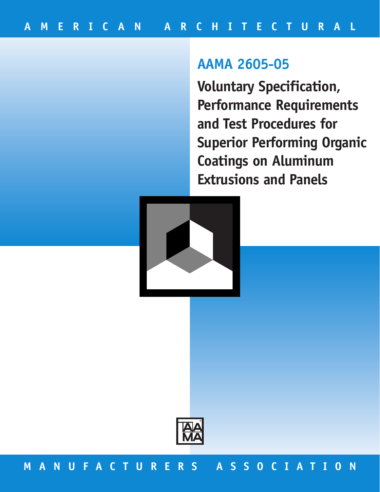# **AAMA 2605-05**

**Voluntary Specification, Performance Requirements and Test Procedures for Superior Performing Organic Coatings on Aluminum Extrusions and Panels** 





## **MANUFACTURERS ASSOCIATION**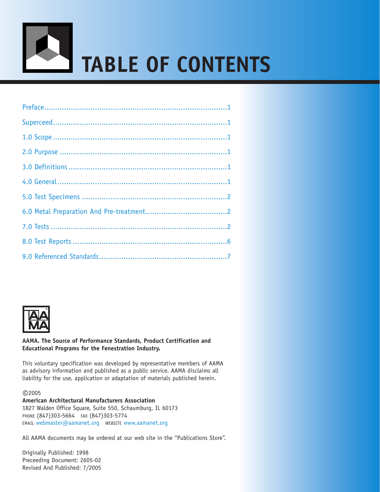



## **AAMA. The Source of Performance Standards, Product Certification and Educational Programs for the Fenestration Industry.**

This voluntary specification was developed by representative members of AAMA as advisory information and published as a public service. AAMA disclaims all liability for the use, application or adaptation of materials published herein.

©2005

**American Architectural Manufacturers Association** 1827 Walden Office Square, Suite 550, Schaumburg, IL 60173 PHONE (847)303-5664 FAX (847)303-5774 EMAIL [webmaster@aamanet.org](mailto:webmaster@aamanet.org) WEBSITE [www.aamanet.org](http://www.aamanet.org)

All AAMA documents may be ordered at our web site in the "Publications Store".

Originally Published: 1998 Preceeding Document: 2605-02 Revised And Published: 7/2005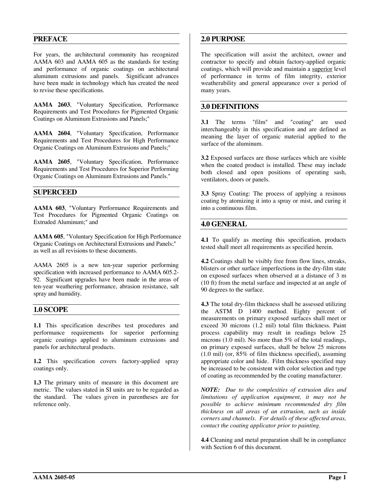## <span id="page-2-0"></span>**PREFACE**

For years, the architectural community has recognized AAMA 603 and AAMA 605 as the standards for testing and performance of organic coatings on architectural aluminum extrusions and panels. Significant advances have been made in technology which has created the need to revise these specifications.

**AAMA 2603**, "Voluntary Specification, Performance Requirements and Test Procedures for Pigmented Organic Coatings on Aluminum Extrusions and Panels;"

**AAMA 2604**, "Voluntary Specification, Performance Requirements and Test Procedures for High Performance Organic Coatings on Aluminum Extrusions and Panels;"

**AAMA 2605**, "Voluntary Specification, Performance Requirements and Test Procedures for Superior Performing Organic Coatings on Aluminum Extrusions and Panels."

## **SUPERCEED**

**AAMA 603**, "Voluntary Performance Requirements and Test Procedures for Pigmented Organic Coatings on Extruded Aluminum;" and

**AAMA 605**, "Voluntary Specification for High Performance Organic Coatings on Architectural Extrusions and Panels;" as well as all revisions to these documents.

AAMA 2605 is a new ten-year superior performing specification with increased performance to AAMA 605.2- 92. Significant upgrades have been made in the areas of ten-year weathering performance, abrasion resistance, salt spray and humidity.

## **1.0 SCOPE**

**1.1** This specification describes test procedures and performance requirements for superior performing organic coatings applied to aluminum extrusions and panels for architectural products.

**1.2** This specification covers factory-applied spray coatings only.

**1.3** The primary units of measure in this document are metric. The values stated in SI units are to be regarded as the standard. The values given in parentheses are for reference only.

## **2.0 PURPOSE**

The specification will assist the architect, owner and contractor to specify and obtain factory-applied organic coatings, which will provide and maintain a superior level of performance in terms of film integrity, exterior weatherability and general appearance over a period of many years.

## **3.0 DEFINITIONS**

**3.1** The terms "film" and "coating" are used interchangeably in this specification and are defined as meaning the layer of organic material applied to the surface of the aluminum.

**3.2** Exposed surfaces are those surfaces which are visible when the coated product is installed. These may include both closed and open positions of operating sash, ventilators, doors or panels.

**3.3** Spray Coating: The process of applying a resinous coating by atomizing it into a spray or mist, and curing it into a continuous film.

## **4.0 GENERAL**

**4.1** To qualify as meeting this specification, products tested shall meet all requirements as specified herein.

**4.2** Coatings shall be visibly free from flow lines, streaks, blisters or other surface imperfections in the dry-film state on exposed surfaces when observed at a distance of 3 m (10 ft) from the metal surface and inspected at an angle of 90 degrees to the surface.

**4.3** The total dry-film thickness shall be assessed utilizing the ASTM D 1400 method. Eighty percent of measurements on primary exposed surfaces shall meet or exceed 30 microns (1.2 mil) total film thickness. Paint process capability may result in readings below 25 microns (1.0 mil). No more than 5% of the total readings, on primary exposed surfaces, shall be below 25 microns (1.0 mil) (or, 85% of film thickness specified), assuming appropriate color and hide. Film thickness specified may be increased to be consistent with color selection and type of coating as recommended by the coating manufacturer.

*NOTE: Due to the complexities of extrusion dies and limitations of application equipment, it may not be possible to achieve minimum recommended dry film thickness on all areas of an extrusion, such as inside corners and channels. For details of these affected areas, contact the coating applicator prior to painting.* 

**4.4** Cleaning and metal preparation shall be in compliance with Section 6 of this document.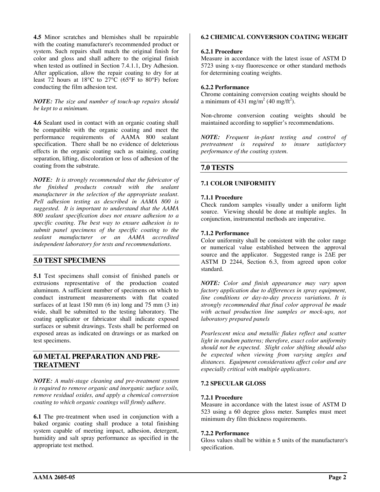<span id="page-3-0"></span>**4.5** Minor scratches and blemishes shall be repairable with the coating manufacturer's recommended product or system. Such repairs shall match the original finish for color and gloss and shall adhere to the original finish when tested as outlined in Section 7.4.1.1, Dry Adhesion. After application, allow the repair coating to dry for at least 72 hours at 18°C to 27°C (65°F to 80°F) before conducting the film adhesion test.

## *NOTE: The size and number of touch-up repairs should be kept to a minimum.*

**4.6** Sealant used in contact with an organic coating shall be compatible with the organic coating and meet the performance requirements of AAMA 800 sealant specification. There shall be no evidence of deleterious effects in the organic coating such as staining, coating separation, lifting, discoloration or loss of adhesion of the coating from the substrate.

*NOTE: It is strongly recommended that the fabricator of the finished products consult with the sealant manufacturer in the selection of the appropriate sealant. Pell adhesion testing as described in AAMA 800 is suggested. It is important to understand that the AAMA 800 sealant specification does not ensure adhesion to a specific coating. The best way to ensure adhesion is to submit panel specimens of the specific coating to the sealant manufacturer or an AAMA accredited independent laboratory for tests and recommendations.* 

## **5.0 TEST SPECIMENS**

**5.1** Test specimens shall consist of finished panels or extrusions representative of the production coated aluminum. A sufficient number of specimens on which to conduct instrument measurements with flat coated surfaces of at least 150 mm  $(6 \text{ in})$  long and 75 mm  $(3 \text{ in})$ wide, shall be submitted to the testing laboratory. The coating applicator or fabricator shall indicate exposed surfaces or submit drawings. Tests shall be performed on exposed areas as indicated on drawings or as marked on test specimens.

## **6.0 METAL PREPARATION AND PRE-TREATMENT**

*NOTE: A multi-stage cleaning and pre-treatment system is required to remove organic and inorganic surface soils, remove residual oxides, and apply a chemical conversion coating to which organic coatings will firmly adhere.* 

**6.1** The pre-treatment when used in conjunction with a baked organic coating shall produce a total finishing system capable of meeting impact, adhesion, detergent, humidity and salt spray performance as specified in the appropriate test method.

#### **6.2 CHEMICAL CONVERSION COATING WEIGHT**

#### **6.2.1 Procedure**

Measure in accordance with the latest issue of ASTM D 5723 using x-ray fluorescence or other standard methods for determining coating weights.

#### **6.2.2 Performance**

Chrome containing conversion coating weights should be a minimum of  $431 \text{ mg/m}^2$  (40 mg/ft<sup>2</sup>).

Non-chrome conversion coating weights should be maintained according to supplier's recommendations.

*NOTE: Frequent in-plant testing and control of pretreatment is required to insure satisfactory performance of the coating system.* 

## **7.0 TESTS**

#### **7.1 COLOR UNIFORMITY**

#### **7.1.1 Procedure**

Check random samples visually under a uniform light source. Viewing should be done at multiple angles. In conjunction, instrumental methods are imperative.

#### **7.1.2 Performance**

Color uniformity shall be consistent with the color range or numerical value established between the approval source and the applicator. Suggested range is 2∆E per ASTM D 2244, Section 6.3, from agreed upon color standard.

*NOTE: Color and finish appearance may vary upon factory application due to differences in spray equipment, line conditions or day-to-day process variations. It is strongly recommended that final color approval be made with actual production line samples or mock-ups, not laboratory prepared panels*

*Pearlescent mica and metallic flakes reflect and scatter light in random patterns; therefore, exact color uniformity should not be expected. Slight color shifting should also be expected when viewing from varying angles and distances. Equipment considerations affect color and are especially critical with multiple applicators.* 

## **7.2 SPECULAR GLOSS**

#### **7.2.1 Procedure**

Measure in accordance with the latest issue of ASTM D 523 using a 60 degree gloss meter. Samples must meet minimum dry film thickness requirements.

#### **7.2.2 Performance**

Gloss values shall be within  $\pm$  5 units of the manufacturer's specification.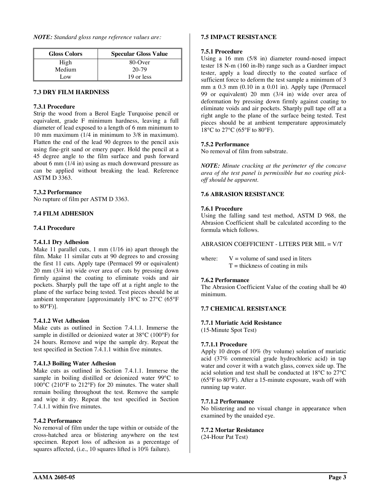*NOTE: Standard gloss range reference values are:* 

| <b>Gloss Colors</b> | <b>Specular Gloss Value</b> |
|---------------------|-----------------------------|
| High                | $80$ -Over                  |
| Medium              | 20-79                       |
| Low                 | 19 or less                  |

## **7.3 DRY FILM HARDNESS**

#### **7.3.1 Procedure**

Strip the wood from a Berol Eagle Turquoise pencil or equivalent, grade F minimum hardness, leaving a full diameter of lead exposed to a length of 6 mm minimum to 10 mm maximum (1/4 in minimum to 3/8 in maximum). Flatten the end of the lead 90 degrees to the pencil axis using fine-grit sand or emery paper. Hold the pencil at a 45 degree angle to the film surface and push forward about 6 mm (1/4 in) using as much downward pressure as can be applied without breaking the lead. Reference ASTM D 3363.

## **7.3.2 Performance**

No rupture of film per ASTM D 3363.

## **7.4 FILM ADHESION**

#### **7.4.1 Procedure**

## **7.4.1.1 Dry Adhesion**

Make 11 parallel cuts, 1 mm (1/16 in) apart through the film. Make 11 similar cuts at 90 degrees to and crossing the first 11 cuts. Apply tape (Permacel 99 or equivalent) 20 mm (3/4 in) wide over area of cuts by pressing down firmly against the coating to eliminate voids and air pockets. Sharply pull the tape off at a right angle to the plane of the surface being tested. Test pieces should be at ambient temperature [approximately 18°C to 27°C (65°F to 80°F)].

## **7.4.1.2 Wet Adhesion**

Make cuts as outlined in Section 7.4.1.1. Immerse the sample in distilled or deionized water at 38°C (100°F) for 24 hours. Remove and wipe the sample dry. Repeat the test specified in Section 7.4.1.1 within five minutes.

## **7.4.1.3 Boiling Water Adhesion**

Make cuts as outlined in Section 7.4.1.1. Immerse the sample in boiling distilled or deionized water 99°C to 100°C (210°F to 212°F) for 20 minutes. The water shall remain boiling throughout the test. Remove the sample and wipe it dry. Repeat the test specified in Section 7.4.1.1 within five minutes.

## **7.4.2 Performance**

No removal of film under the tape within or outside of the cross-hatched area or blistering anywhere on the test specimen. Report loss of adhesion as a percentage of squares affected, (i.e., 10 squares lifted is 10% failure).

#### **7.5 IMPACT RESISTANCE**

#### **7.5.1 Procedure**

Using a 16 mm (5/8 in) diameter round-nosed impact tester 18 N-m (160 in-lb) range such as a Gardner impact tester, apply a load directly to the coated surface of sufficient force to deform the test sample a minimum of 3  $mm \pm 0.3$  mm (0.10 in  $\pm$  0.01 in). Apply tape (Permacel 99 or equivalent) 20 mm (3/4 in) wide over area of deformation by pressing down firmly against coating to eliminate voids and air pockets. Sharply pull tape off at a right angle to the plane of the surface being tested. Test pieces should be at ambient temperature approximately 18°C to 27°C (65°F to 80°F).

## **7.5.2 Performance**

No removal of film from substrate.

*NOTE: Minute cracking at the perimeter of the concave area of the test panel is permissible but no coating pickoff should be apparent.* 

## **7.6 ABRASION RESISTANCE**

#### **7.6.1 Procedure**

Using the falling sand test method, ASTM D 968, the Abrasion Coefficient shall be calculated according to the formula which follows.

## ABRASION COEFFICIENT - LITERS PER MIL = V/T

where:  $V =$  volume of sand used in liters  $T =$  thickness of coating in mils

## **7.6.2 Performance**

The Abrasion Coefficient Value of the coating shall be 40 minimum.

## **7.7 CHEMICAL RESISTANCE**

#### **7.7.1 Muriatic Acid Resistance**

(15-Minute Spot Test)

## **7.7.1.1 Procedure**

Apply 10 drops of 10% (by volume) solution of muriatic acid (37% commercial grade hydrochloric acid) in tap water and cover it with a watch glass, convex side up. The acid solution and test shall be conducted at 18°C to 27°C (65°F to 80°F). After a 15-minute exposure, wash off with running tap water.

#### **7.7.1.2 Performance**

No blistering and no visual change in appearance when examined by the unaided eye.

#### **7.7.2 Mortar Resistance**

(24-Hour Pat Test)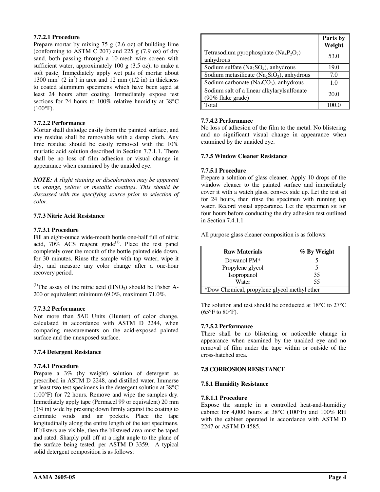## **7.7.2.1 Procedure**

Prepare mortar by mixing  $75 \text{ g}$  (2.6 oz) of building lime (conforming to ASTM C 207) and 225 g (7.9 oz) of dry sand, both passing through a 10-mesh wire screen with sufficient water, approximately 100 g  $(3.5 \text{ oz})$ , to make a soft paste. Immediately apply wet pats of mortar about 1300 mm<sup>2</sup> (2 in<sup>2</sup>) in area and 12 mm (1/2 in) in thickness to coated aluminum specimens which have been aged at least 24 hours after coating. Immediately expose test sections for 24 hours to 100% relative humidity at 38°C  $(100^{\circ}F)$ .

## **7.7.2.2 Performance**

Mortar shall dislodge easily from the painted surface, and any residue shall be removable with a damp cloth. Any lime residue should be easily removed with the 10% muriatic acid solution described in Section 7.7.1.1. There shall be no loss of film adhesion or visual change in appearance when examined by the unaided eye.

*NOTE: A slight staining or discoloration may be apparent on orange, yellow or metallic coatings. This should be discussed with the specifying source prior to selection of color.* 

## **7.7.3 Nitric Acid Resistance**

#### **7.7.3.1 Procedure**

Fill an eight-ounce wide-mouth bottle one-half full of nitric acid,  $70\%$  ACS reagent grade<sup>(1)</sup>. Place the test panel completely over the mouth of the bottle painted side down, for 30 minutes. Rinse the sample with tap water, wipe it dry, and measure any color change after a one-hour recovery period.

<sup>(1)</sup>The assay of the nitric acid  $(HNO<sub>3</sub>)$  should be Fisher A-200 or equivalent; minimum 69.0%, maximum 71.0%.

#### **7.7.3.2 Performance**

Not more than 5∆E Units (Hunter) of color change, calculated in accordance with ASTM D 2244, when comparing measurements on the acid-exposed painted surface and the unexposed surface.

## **7.7.4 Detergent Resistance**

## **7.7.4.1 Procedure**

Prepare a  $3\%$  (by weight) solution of detergent as prescribed in ASTM D 2248, and distilled water. Immerse at least two test specimens in the detergent solution at 38°C (100°F) for 72 hours. Remove and wipe the samples dry. Immediately apply tape (Permacel 99 or equivalent) 20 mm (3/4 in) wide by pressing down firmly against the coating to eliminate voids and air pockets. Place the tape longitudinally along the entire length of the test specimens. If blisters are visible, then the blistered area must be taped and rated. Sharply pull off at a right angle to the plane of the surface being tested, per ASTM D 3359. A typical solid detergent composition is as follows:

|                                                                 | Parts by<br>Weight |
|-----------------------------------------------------------------|--------------------|
| Tetrasodium pyrophosphate $(Na_4P_2O_7)$<br>anhydrous           | 53.0               |
| Sodium sulfate $(Na_2SO_4)$ , anhydrous                         | 19.0               |
| Sodium metasilicate ( $Na2SiO3$ ), anhydrous                    | 7.0                |
| Sodium carbonate ( $Na2CO3$ ), anhydrous                        | 1.0                |
| Sodium salt of a linear alkylarylsulfonate<br>(90% flake grade) | 20.0               |
| Total                                                           |                    |

#### **7.7.4.2 Performance**

No loss of adhesion of the film to the metal. No blistering and no significant visual change in appearance when examined by the unaided eye.

## **7.7.5 Window Cleaner Resistance**

#### **7.7.5.1 Procedure**

Prepare a solution of glass cleaner. Apply 10 drops of the window cleaner to the painted surface and immediately cover it with a watch glass, convex side up. Let the test sit for 24 hours, then rinse the specimen with running tap water. Record visual appearance. Let the specimen sit for four hours before conducting the dry adhesion test outlined in Section 7.4.1.1

All purpose glass cleaner composition is as follows:

| <b>Raw Materials</b>                         | % By Weight |  |
|----------------------------------------------|-------------|--|
| Dowanol PM <sup>*</sup>                      |             |  |
| Propylene glycol                             |             |  |
| Isopropanol                                  | 35          |  |
| Water                                        | 55          |  |
| *Dow Chemical, propylene glycol methyl ether |             |  |

The solution and test should be conducted at 18°C to 27°C  $(65^{\circ}$ F to  $80^{\circ}$ F).

## **7.7.5.2 Performance**

There shall be no blistering or noticeable change in appearance when examined by the unaided eye and no removal of film under the tape within or outside of the cross-hatched area.

## **7.8 CORROSION RESISTANCE**

#### **7.8.1 Humidity Resistance**

#### **7.8.1.1 Procedure**

Expose the sample in a controlled heat-and-humidity cabinet for 4,000 hours at 38°C (100°F) and 100% RH with the cabinet operated in accordance with ASTM D 2247 or ASTM D 4585.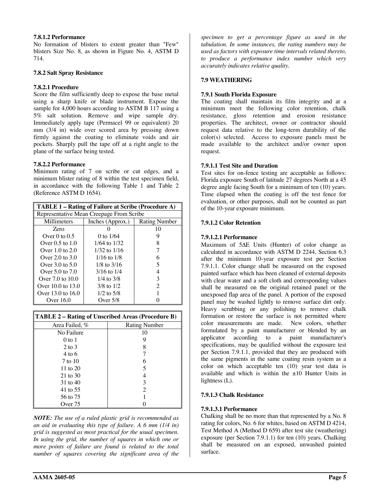## **7.8.1.2 Performance**

No formation of blisters to extent greater than "Few" blisters Size No. 8, as shown in Figure No. 4, ASTM D 714.

## **7.8.2 Salt Spray Resistance**

## **7.8.2.1 Procedure**

Score the film sufficiently deep to expose the base metal using a sharp knife or blade instrument. Expose the sample for 4,000 hours according to ASTM B 117 using a 5% salt solution. Remove and wipe sample dry. Immediately apply tape (Permacel 99 or equivalent) 20 mm (3/4 in) wide over scored area by pressing down firmly against the coating to eliminate voids and air pockets. Sharply pull the tape off at a right angle to the plane of the surface being tested.

## **7.8.2.2 Performance**

Minimum rating of 7 on scribe or cut edges, and a minimum blister rating of 8 within the test specimen field, in accordance with the following Table 1 and Table 2 (Reference ASTM D 1654).

| TABLE 1 – Rating of Failure at Scribe (Procedure A) |                  |                      |  |  |
|-----------------------------------------------------|------------------|----------------------|--|--|
| Representative Mean Creepage From Scribe            |                  |                      |  |  |
| Millimeters                                         | Inches (Approx.) | <b>Rating Number</b> |  |  |
| Zero                                                |                  | 10                   |  |  |
| Over 0 to $0.5$                                     | 0 to $1/64$      |                      |  |  |
| Over $0.5$ to $1.0$                                 | $1/64$ to $1/32$ |                      |  |  |
| Over $1.0$ to $2.0$                                 | $1/32$ to $1/16$ |                      |  |  |
| Over $2.0$ to $3.0$                                 | $1/16$ to $1/8$  | 6                    |  |  |
| Over $3.0$ to $5.0$                                 | $1/8$ to $3/16$  | 5                    |  |  |
| Over $5.0$ to $7.0$                                 | $3/16$ to $1/4$  |                      |  |  |
| Over $7.0$ to $10.0$                                | $1/4$ to $3/8$   | 3                    |  |  |
| Over $10.0$ to $13.0$                               | $3/8$ to $1/2$   | 2                    |  |  |
| Over 13.0 to 16.0                                   | $1/2$ to $5/8$   |                      |  |  |
| Over $16.0$                                         | Over $5/8$       |                      |  |  |

| <b>TABLE 2 – Rating of Unscribed Areas (Procedure B)</b> |                      |  |
|----------------------------------------------------------|----------------------|--|
| Area Failed, %                                           | <b>Rating Number</b> |  |
| No Failure                                               | 10                   |  |
| $0$ to 1                                                 |                      |  |
| $2$ to $3$                                               |                      |  |
| $4 \text{ to } 6$                                        |                      |  |
| 7 to 10                                                  | 6                    |  |
| 11 to $20$                                               | 5                    |  |
| $21$ to $30$                                             |                      |  |
| 31 to 40                                                 | 3                    |  |
| 41 to 55                                                 | 2                    |  |
| 56 to 75                                                 |                      |  |
| Over 75                                                  |                      |  |

*NOTE: The use of a ruled plastic grid is recommended as an aid in evaluating this type of failure. A 6 mm (1/4 in) grid is suggested as most practical for the usual specimen. In using the grid, the number of squares in which one or more points of failure are found is related to the total number of squares covering the significant area of the* 

*specimen to get a percentage figure as used in the tabulation. In some instances, the rating numbers may be used as factors with exposure time intervals related thereto, to produce a performance index number which very accurately indicates relative quality.* 

## **7.9 WEATHERING**

## **7.9.1 South Florida Exposure**

The coating shall maintain its film integrity and at a minimum meet the following color retention, chalk resistance, gloss retention and erosion resistance properties. The architect, owner or contractor should request data relative to the long-term durability of the color(s) selected. Access to exposure panels must be made available to the architect and/or owner upon request.

## **7.9.1.1 Test Site and Duration**

Test sites for on-fence testing are acceptable as follows: Florida exposure South of latitude 27 degrees North at a 45 degree angle facing South for a minimum of ten (10) years. Time elapsed when the coating is off the test fence for evaluation, or other purposes, shall not be counted as part of the 10-year exposure minimum.

## **7.9.1.2 Color Retention**

## **7.9.1.2.1 Performance**

Maximum of 5∆E Units (Hunter) of color change as calculated in accordance with ASTM D 2244, Section 6.3 after the minimum 10-year exposure test per Section 7.9.1.1. Color change shall be measured on the exposed painted surface which has been cleaned of external deposits with clear water and a soft cloth and corresponding values shall be measured on the original retained panel or the unexposed flap area of the panel. A portion of the exposed panel may be washed lightly to remove surface dirt only. Heavy scrubbing or any polishing to remove chalk formation or restore the surface is not permitted where color measurements are made. New colors, whether formulated by a paint manufacturer or blended by an applicator according to a paint manufacturer's specifications, may be qualified without the exposure test per Section 7.9.1.1, provided that they are produced with the same pigments in the same coating resin system as a color on which acceptable ten (10) year test data is available and which is within the  $\pm 10$  Hunter Units in lightness (L).

## **7.9.1.3 Chalk Resistance**

## **7.9.1.3.1 Performance**

Chalking shall be no more than that represented by a No. 8 rating for colors, No. 6 for whites, based on ASTM D 4214, Test Method A (Method D 659) after test site (weathering) exposure (per Section 7.9.1.1) for ten (10) years. Chalking shall be measured on an exposed, unwashed painted surface.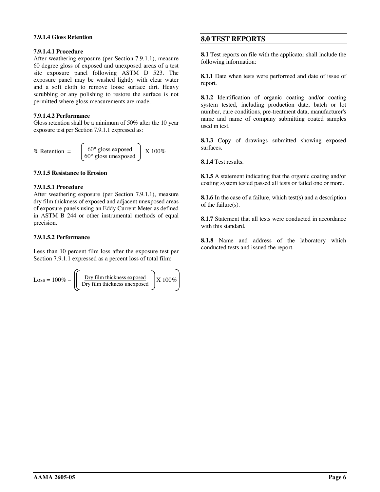## <span id="page-7-0"></span>**7.9.1.4 Gloss Retention**

## **7.9.1.4.1 Procedure**

After weathering exposure (per Section 7.9.1.1), measure 60 degree gloss of exposed and unexposed areas of a test site exposure panel following ASTM D 523. The exposure panel may be washed lightly with clear water and a soft cloth to remove loose surface dirt. Heavy scrubbing or any polishing to restore the surface is not permitted where gloss measurements are made.

## **7.9.1.4.2 Performance**

Gloss retention shall be a minimum of 50% after the 10 year exposure test per Section 7.9.1.1 expressed as:

% Retention = 
$$
\begin{bmatrix} \frac{60^{\circ} \text{ gloss exposed}}{60^{\circ} \text{ gloss unexposed}} \end{bmatrix} X 100\%
$$

## **7.9.1.5 Resistance to Erosion**

## **7.9.1.5.1 Procedure**

After weathering exposure (per Section 7.9.1.1), measure dry film thickness of exposed and adjacent unexposed areas of exposure panels using an Eddy Current Meter as defined in ASTM B 244 or other instrumental methods of equal precision.

## **7.9.1.5.2 Performance**

Less than 10 percent film loss after the exposure test per Section 7.9.1.1 expressed as a percent loss of total film:

$$
Loss = 100\% - \left( \frac{Dry film thickness exposed}{ Dry film thickness unexposed} \right) X 100\%
$$

## **8.0 TEST REPORTS**

**8.1** Test reports on file with the applicator shall include the following information:

**8.1.1** Date when tests were performed and date of issue of report.

**8.1.2** Identification of organic coating and/or coating system tested, including production date, batch or lot number, cure conditions, pre-treatment data, manufacturer's name and name of company submitting coated samples used in test.

**8.1.3** Copy of drawings submitted showing exposed surfaces.

**8.1.4** Test results.

**8.1.5** A statement indicating that the organic coating and/or coating system tested passed all tests or failed one or more.

**8.1.6** In the case of a failure, which test(s) and a description of the failure(s).

**8.1.7** Statement that all tests were conducted in accordance with this standard.

**8.1.8** Name and address of the laboratory which conducted tests and issued the report.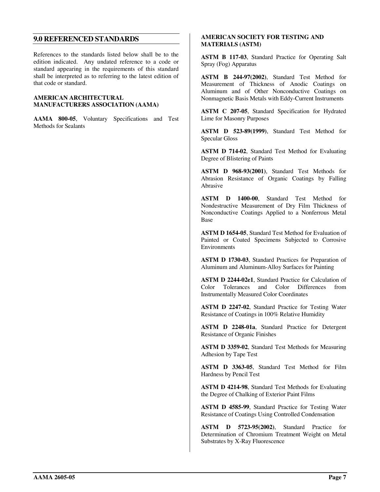## <span id="page-8-0"></span>**9.0 REFERENCED STANDARDS**

References to the standards listed below shall be to the edition indicated. Any undated reference to a code or standard appearing in the requirements of this standard shall be interpreted as to referring to the latest edition of that code or standard.

#### **AMERICAN ARCHITECTURAL MANUFACTURERS ASSOCIATION (AAMA)**

**AAMA 800-05**, Voluntary Specifications and Test Methods for Sealants

## **AMERICAN SOCIETY FOR TESTING AND MATERIALS (ASTM)**

**ASTM B 117-03**, Standard Practice for Operating Salt Spray (Fog) Apparatus

**ASTM B 244-97(2002)**, Standard Test Method for Measurement of Thickness of Anodic Coatings on Aluminum and of Other Nonconductive Coatings on Nonmagnetic Basis Metals with Eddy-Current Instruments

**ASTM C 207-05**, Standard Specification for Hydrated Lime for Masonry Purposes

**ASTM D 523-89(1999)**, Standard Test Method for Specular Gloss

**ASTM D 714-02**, Standard Test Method for Evaluating Degree of Blistering of Paints

**ASTM D 968-93(2001)**, Standard Test Methods for Abrasion Resistance of Organic Coatings by Falling Abrasive

**ASTM D 1400-00**, Standard Test Method for Nondestructive Measurement of Dry Film Thickness of Nonconductive Coatings Applied to a Nonferrous Metal Base

**ASTM D 1654-05**, Standard Test Method for Evaluation of Painted or Coated Specimens Subjected to Corrosive Environments

**ASTM D 1730-03**, Standard Practices for Preparation of Aluminum and Aluminum-Alloy Surfaces for Painting

**ASTM D 2244-02e1**, Standard Practice for Calculation of Color Tolerances and Color Differences from Instrumentally Measured Color Coordinates

**ASTM D 2247-02**, Standard Practice for Testing Water Resistance of Coatings in 100% Relative Humidity

**ASTM D 2248-01a**, Standard Practice for Detergent Resistance of Organic Finishes

**ASTM D 3359-02**, Standard Test Methods for Measuring Adhesion by Tape Test

**ASTM D 3363-05**, Standard Test Method for Film Hardness by Pencil Test

**ASTM D 4214-98**, Standard Test Methods for Evaluating the Degree of Chalking of Exterior Paint Films

**ASTM D 4585-99**, Standard Practice for Testing Water Resistance of Coatings Using Controlled Condensation

**ASTM D 5723-95(2002)**, Standard Practice for Determination of Chromium Treatment Weight on Metal Substrates by X-Ray Fluorescence